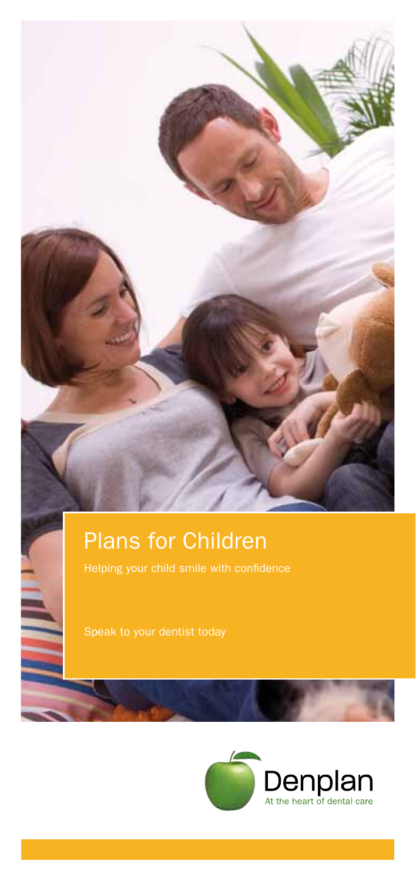## Plans for Children

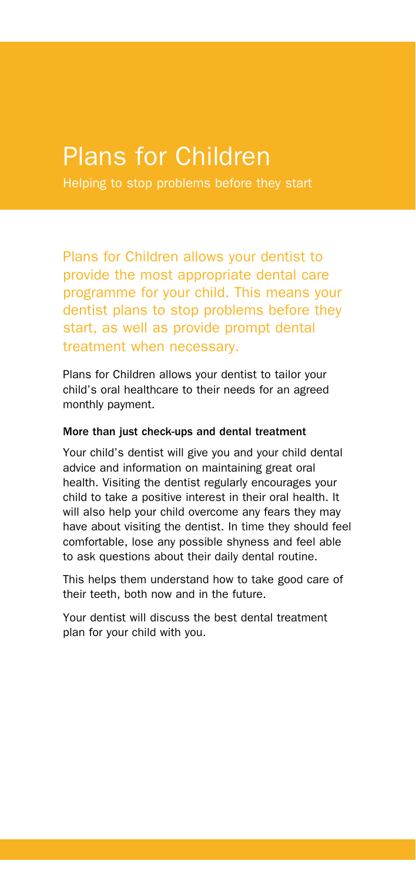## Plans for Children

Helping to stop problems before they start

Plans for Children allows your dentist to provide the most appropriate dental care programme for your child. This means your dentist plans to stop problems before they start, as well as provide prompt dental treatment when necessary.

Plans for Children allows your dentist to tailor your child's oral healthcare to their needs for an agreed monthly payment.

#### More than just check-ups and dental treatment

Your child's dentist will give you and your child dental advice and information on maintaining great oral health. Visiting the dentist regularly encourages your child to take a positive interest in their oral health. It will also help your child overcome any fears they may have about visiting the dentist. In time they should feel comfortable, lose any possible shyness and feel able to ask questions about their daily dental routine.

This helps them understand how to take good care of their teeth, both now and in the future.

Your dentist will discuss the best dental treatment plan for your child with you.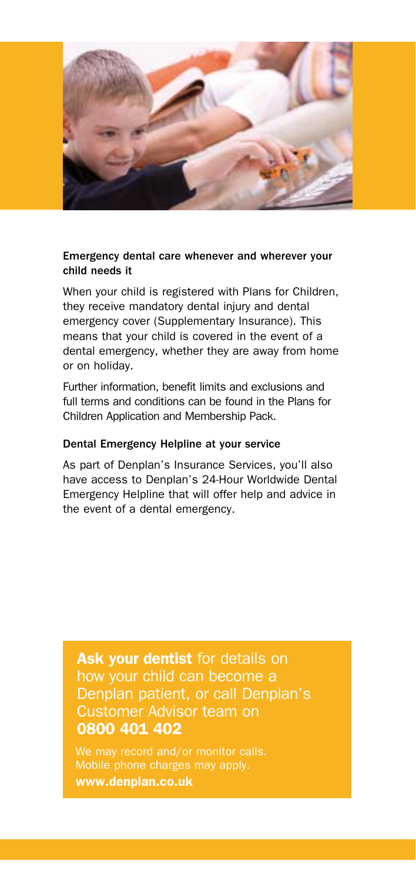

### Emergency dental care whenever and wherever your child needs it

When your child is registered with Plans for Children, they receive mandatory dental injury and dental emergency cover (Supplementary Insurance). This means that your child is covered in the event of a dental emergency, whether they are away from home or on holiday.

Further information, benefit limits and exclusions and full terms and conditions can be found in the Plans for Children Application and Membership Pack.

## Dental Emergency Helpline at your service

As part of Denplan's Insurance Services, you'll also have access to Denplan's 24-Hour Worldwide Dental Emergency Helpline that will offer help and advice in the event of a dental emergency.

Ask your dentist for details on how your child can become a Denplan patient, or call Denplan's Customer Advisor team on 0800 401 402

Mobile phone charges may apply. www.denplan.co.uk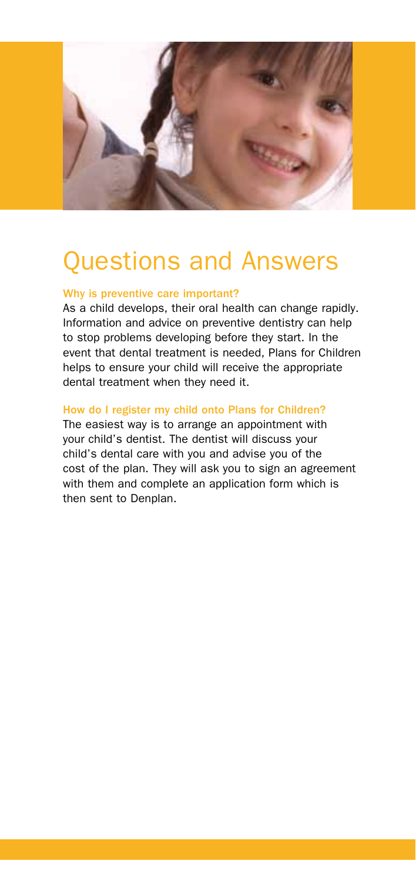

## Questions and Answers

### Why is preventive care important?

As a child develops, their oral health can change rapidly. Information and advice on preventive dentistry can help to stop problems developing before they start. In the event that dental treatment is needed, Plans for Children helps to ensure your child will receive the appropriate dental treatment when they need it.

### How do I register my child onto Plans for Children?

The easiest way is to arrange an appointment with your child's dentist. The dentist will discuss your child's dental care with you and advise you of the cost of the plan. They will ask you to sign an agreement with them and complete an application form which is then sent to Denplan.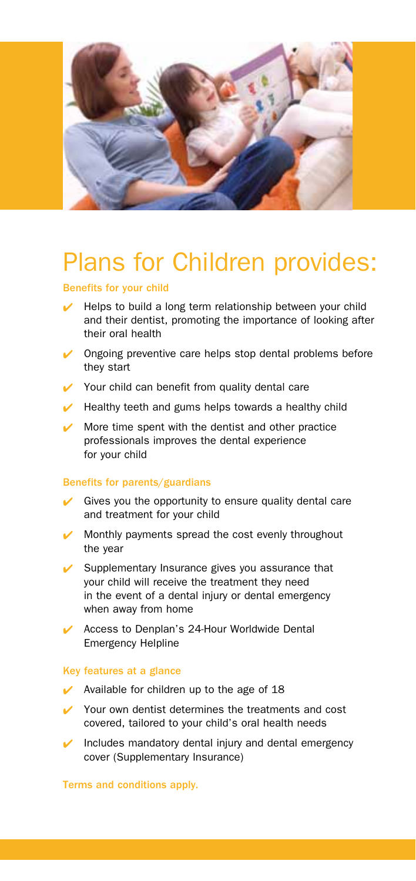

# Plans for Children provides:

#### Benefits for your child

- 4 Helps to build a long term relationship between your child and their dentist, promoting the importance of looking after their oral health
- $\vee$  Ongoing preventive care helps stop dental problems before they start
- $\checkmark$  Your child can benefit from quality dental care
- $\blacktriangleright$  Healthy teeth and gums helps towards a healthy child
- $\vee$  More time spent with the dentist and other practice professionals improves the dental experience for your child

#### Benefits for parents/guardians

- $\vee$  Gives you the opportunity to ensure quality dental care and treatment for your child
- $\vee$  Monthly payments spread the cost evenly throughout the year
- $\checkmark$  Supplementary Insurance gives you assurance that your child will receive the treatment they need in the event of a dental injury or dental emergency when away from home
- 4 Access to Denplan's 24-Hour Worldwide Dental Emergency Helpline

#### Key features at a glance

- $\vee$  Available for children up to the age of 18
- Your own dentist determines the treatments and cost covered, tailored to your child's oral health needs
- Includes mandatory dental injury and dental emergency cover (Supplementary Insurance)

Terms and conditions apply.